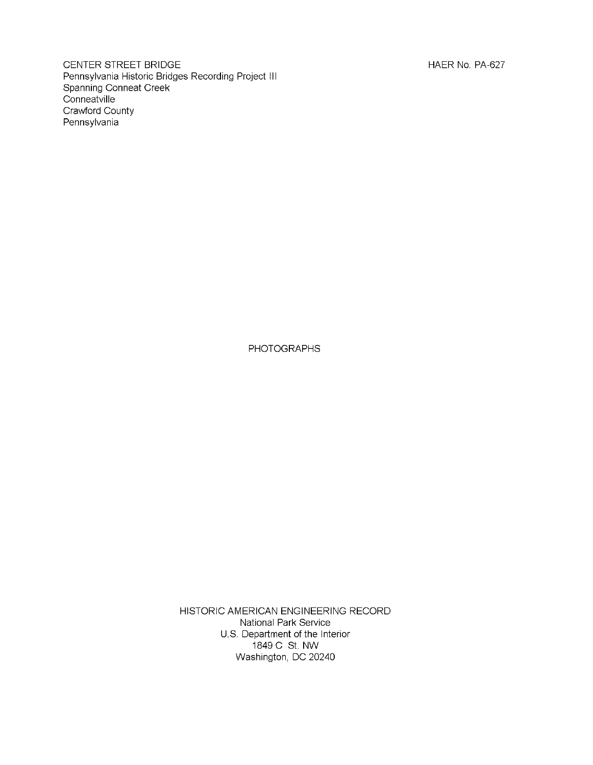CENTER STREET BRIDGE **HAER NO. PA-627** Pennsylvania Historic Bridges Recording Project III Spanning Conneat Creek **Conneatville** Crawford County Pennsylvania

PHOTOGRAPHS

HISTORIC AMERICAN ENGINEERING RECORD National Park Service U.S. Department of the Interior 1849 C St. NW Washington, DC 20240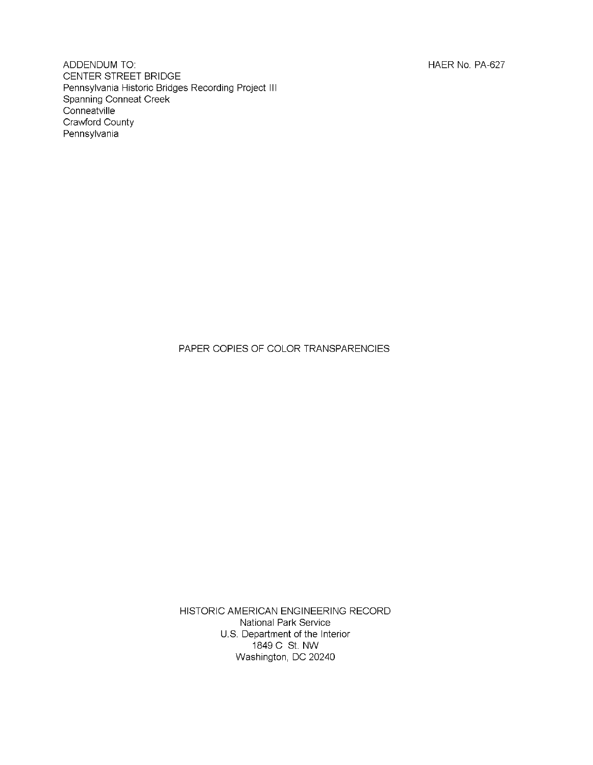ADDENDUM TO: **HAER No. PA-627** CENTER STREET BRIDGE Pennsylvania Historic Bridges Recording Project III Spanning Conneat Creek **Conneatville** Crawford County Pennsylvania

PAPER COPIES OF COLOR TRANSPARENCIES

HISTORIC AMERICAN ENGINEERING RECORD National Park Service U.S. Department of the Interior 1849 C St. NW Washington, DC 20240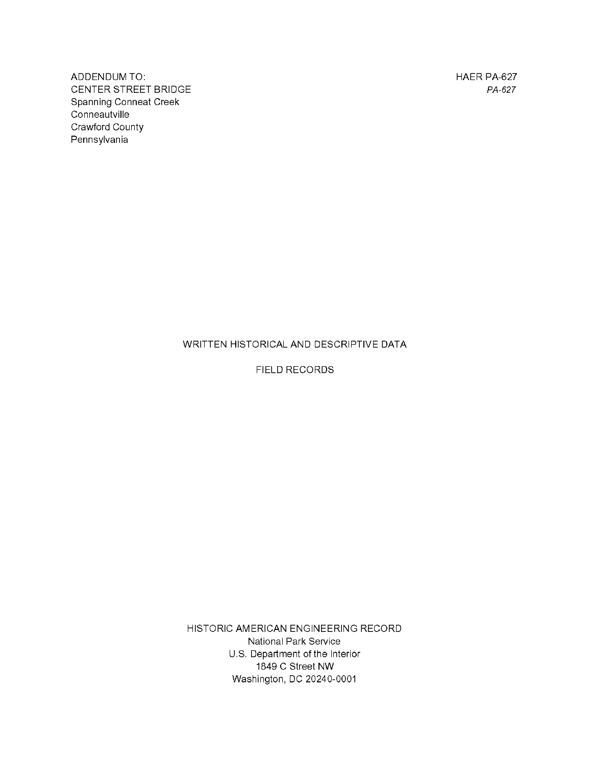ADDENDUM TO: ALCOHOL: HAER PA-627 CENTER STREET BRIDGE *PA-627* Spanning Conneat Creek **Conneautville** Crawford County Pennsylvania

### WRITTEN HISTORICAL AND DESCRIPTIVE DATA

FIELD RECORDS

HISTORIC AMERICAN ENGINEERING RECORD National Park Service U.S. Department of the Interior 1849 C Street NW Washington, DC 20240-0001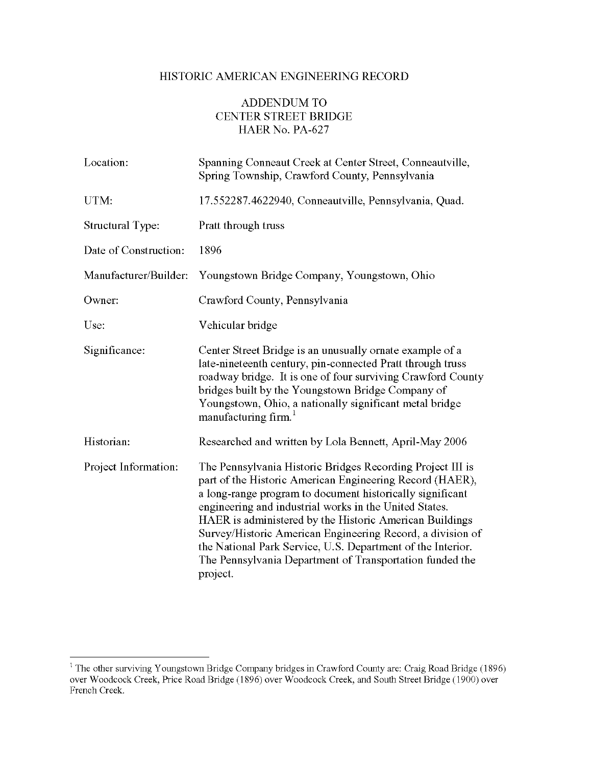# HISTORIC AMERICAN ENGINEERING RECORD

# ADDENDUM TO CENTER STREET BRIDGE HAER No. PA-627

| Location:             | Spanning Conneaut Creek at Center Street, Conneautville,<br>Spring Township, Crawford County, Pennsylvania                                                                                                                                                                                                                                                                                                                                                                                                    |
|-----------------------|---------------------------------------------------------------------------------------------------------------------------------------------------------------------------------------------------------------------------------------------------------------------------------------------------------------------------------------------------------------------------------------------------------------------------------------------------------------------------------------------------------------|
| UTM:                  | 17.552287.4622940, Conneautville, Pennsylvania, Quad.                                                                                                                                                                                                                                                                                                                                                                                                                                                         |
| Structural Type:      | Pratt through truss                                                                                                                                                                                                                                                                                                                                                                                                                                                                                           |
| Date of Construction: | 1896                                                                                                                                                                                                                                                                                                                                                                                                                                                                                                          |
| Manufacturer/Builder: | Youngstown Bridge Company, Youngstown, Ohio                                                                                                                                                                                                                                                                                                                                                                                                                                                                   |
| Owner:                | Crawford County, Pennsylvania                                                                                                                                                                                                                                                                                                                                                                                                                                                                                 |
| Use:                  | Vehicular bridge                                                                                                                                                                                                                                                                                                                                                                                                                                                                                              |
| Significance:         | Center Street Bridge is an unusually ornate example of a<br>late-nineteenth century, pin-connected Pratt through truss<br>roadway bridge. It is one of four surviving Crawford County<br>bridges built by the Youngstown Bridge Company of<br>Youngstown, Ohio, a nationally significant metal bridge<br>manufacturing firm. <sup>1</sup>                                                                                                                                                                     |
| Historian:            | Researched and written by Lola Bennett, April-May 2006                                                                                                                                                                                                                                                                                                                                                                                                                                                        |
| Project Information:  | The Pennsylvania Historic Bridges Recording Project III is<br>part of the Historic American Engineering Record (HAER),<br>a long-range program to document historically significant<br>engineering and industrial works in the United States.<br>HAER is administered by the Historic American Buildings<br>Survey/Historic American Engineering Record, a division of<br>the National Park Service, U.S. Department of the Interior.<br>The Pennsylvania Department of Transportation funded the<br>project. |

<sup>1</sup> The other surviving Youngstown Bridge Company bridges in Crawford County are: Craig Road Bridge (1896) over Woodcock Creek, Price Road Bridge (1896) over Woodcock Creek, and South Street Bridge (1900) over French Creek.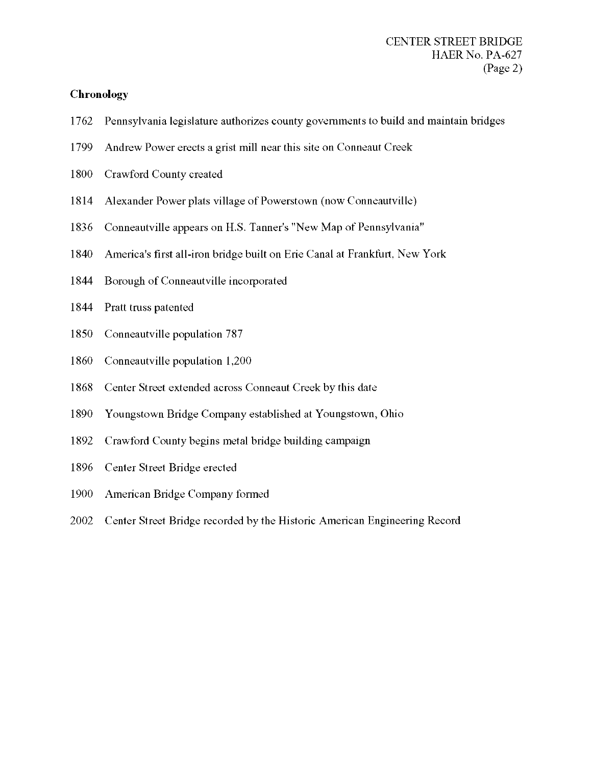### **Chronology**

- Pennsylvania legislature authorizes county governments to build and maintain bridges
- Andrew Power erects a grist mill near this site on Conneaut Creek
- Crawford County created
- Alexander Power plats village of Powerstown (now Conneautville)
- Conneautville appears on H.S. Tanner's "New Map of Pennsylvania"
- America's first all-iron bridge built on Erie Canal at Frankfurt, New York
- Borough of Conneautville incorporated
- Pratt truss patented
- Conneautville population 787
- Conneautville population 1,200
- Center Street extended across Conneaut Creek by this date
- Youngstown Bridge Company established at Youngstown, Ohio
- Crawford County begins metal bridge building campaign
- Center Street Bridge erected
- American Bridge Company formed
- Center Street Bridge recorded by the Historic American Engineering Record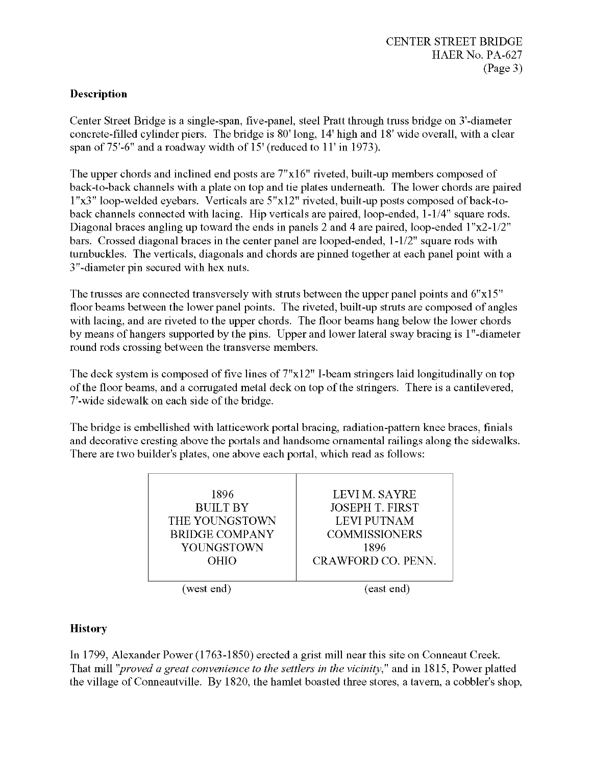# **Description**

Center Street Bridge is a single-span, five-panel, steel Pratt through truss bridge on 3'-diameter concrete-filled cylinder piers. The bridge is 80' long, 14' high and 18' wide overall, with a clear span of 75'-6" and a roadway width of 15' (reduced to 11' in 1973).

The upper chords and inclined end posts are  $7"x16"$  riveted, built-up members composed of back-to-back channels with a plate on top and tie plates underneath. The lower chords are paired l"x3" loop-welded eyebars. Verticals are 5"xl2" riveted, built-up posts composed of back-toback channels connected with lacing. Hip verticals are paired, loop-ended, 1-1/4" square rods. Diagonal braces angling up toward the ends in panels 2 and 4 are paired, loop-ended 1"x2-1/2" bars. Crossed diagonal braces in the center panel are looped-ended, 1-1/2" square rods with turnbuckles. The verticals, diagonals and chords are pinned together at each panel point with a 3"-diameter pin secured with hex nuts.

The trusses are connected transversely with struts between the upper panel points and 6"x15" floor beams between the lower panel points. The riveted, built-up struts are composed of angles with lacing, and are riveted to the upper chords. The floor beams hang below the lower chords by means of hangers supported by the pins. Upper and lower lateral sway bracing is l"-diameter round rods crossing between the transverse members.

The deck system is composed of five lines of 7"xl2" I-beam stringers laid longitudinally on top of the floor beams, and a corrugated metal deck on top of the stringers. There is a cantilevered, 7'-wide sidewalk on each side of the bridge.

The bridge is embellished with latticework portal bracing, radiation-pattern knee braces, finials and decorative cresting above the portals and handsome ornamental railings along the sidewalks. There are two builder's plates, one above each portal, which read as follows:

| 1896<br><b>BUILT BY</b><br>THE YOUNGSTOWN<br><b>BRIDGE COMPANY</b><br>YOUNGSTOWN | <b>LEVIM. SAYRE</b><br><b>JOSEPH T. FIRST</b><br><b>LEVI PUTNAM</b><br><b>COMMISSIONERS</b><br>1896 |
|----------------------------------------------------------------------------------|-----------------------------------------------------------------------------------------------------|
| OHIO                                                                             | CRAWFORD CO. PENN.                                                                                  |
| (west end)                                                                       | (east end)                                                                                          |

# **History**

In 1799, Alexander Power (1763-1850) erected a grist mill near this site on Conneaut Creek. That mill *"proved a great convenience to the settlers in the vicinity"* and in 1815, Power platted the village of Conneautville. By 1820, the hamlet boasted three stores, a tavern, a cobbler's shop,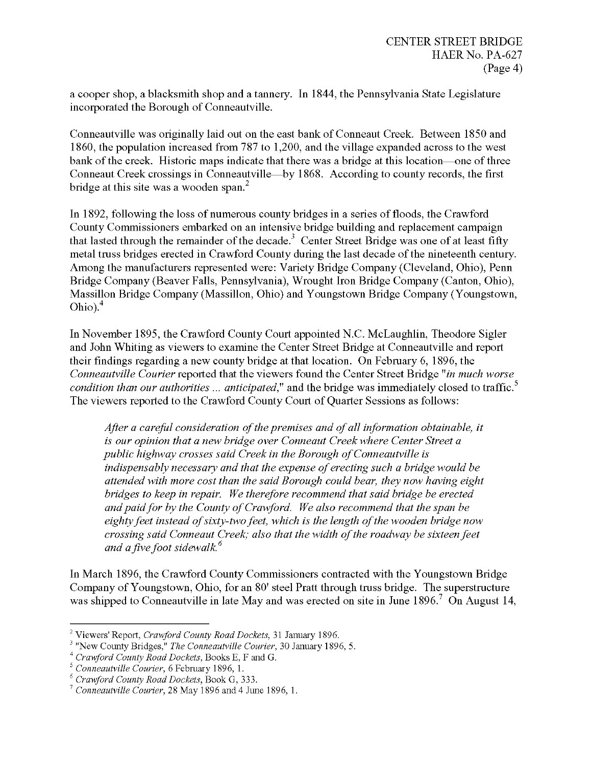a cooper shop, a blacksmith shop and a tannery. In 1844, the Pennsylvania State Legislature incorporated the Borough of Conneautville.

Conneautville was originally laid out on the east bank of Conneaut Creek. Between 1850 and 1860, the population increased from 787 to 1,200, and the village expanded across to the west bank of the creek. Historic maps indicate that there was a bridge at this location—one of three Conneaut Creek crossings in Conneautville—by 1868. According to county records, the first bridge at this site was a wooden span.<sup>2</sup>

In 1892, following the loss of numerous county bridges in a series of floods, the Crawford County Commissioners embarked on an intensive bridge building and replacement campaign that lasted through the remainder of the decade.<sup>3</sup> Center Street Bridge was one of at least fifty metal truss bridges erected in Crawford County during the last decade of the nineteenth century. Among the manufacturers represented were: Variety Bridge Company (Cleveland, Ohio), Penn Bridge Company (Beaver Falls, Pennsylvania), Wrought Iron Bridge Company (Canton, Ohio), Massillon Bridge Company (Massillon, Ohio) and Youngstown Bridge Company (Youngstown, Ohio).<sup>4</sup>

In November 1895, the Crawford County Court appointed N.C. McLaughlin, Theodore Sigler and John Whiting as viewers to examine the Center Street Bridge at Conneautville and report their findings regarding a new county bridge at that location. On February 6, 1896, the *Conneautville Courier* reported that the viewers found the Center Street Bridge *"in much worse condition than our authorities ... anticipated,"* and the bridge was immediately closed to traffic.<sup>5</sup> The viewers reported to the Crawford County Court of Quarter Sessions as follows:

*After a careful consideration ofthepremises and ofall information obtainable, it is our opinion that a new bridge over Conneaut Creek where Center Street a public highway crosses said Creek in the Borough ofConneautville is indispensably necessary and that the expense oferecting such a bridge would be attended with more cost than the said Borough could bear, they now having eight bridges to keep in repair. We therefore recommend that said bridge be erected andpaidfor by the County ofCrawford. We also recommend that the span be eightyfeet instead ofsixty-twofeet, which is the length ofthe wooden bridge now crossing said Conneaut Creek; also that the width ofthe roadway be sixteenfeet and afivefoot sidewalk.*

In March 1896, the Crawford County Commissioners contracted with the Youngstown Bridge Company of Youngstown, Ohio, for an 80' steel Pratt through truss bridge. The superstructure was shipped to Conneautville in late May and was erected on site in June 1896.<sup>7</sup> On August 14,

<sup>2</sup> Viewers' Report, *Crawford County Road Dockets,* <sup>31</sup> January 1896.

<sup>3</sup> "New County Bridges," *The Conneautville Courier,* 30 January 1896, 5.

<sup>4</sup> *Crawford County Road Dockets,* Books E, F and G.

<sup>5</sup> *Conneautville Courier,* 6 February 1896, 1.

<sup>6</sup> *Crawford County Road Dockets,* Book G, 333.

<sup>7</sup> *Conneautville Courier,* 28 May 1896 and 4 June 1896, 1.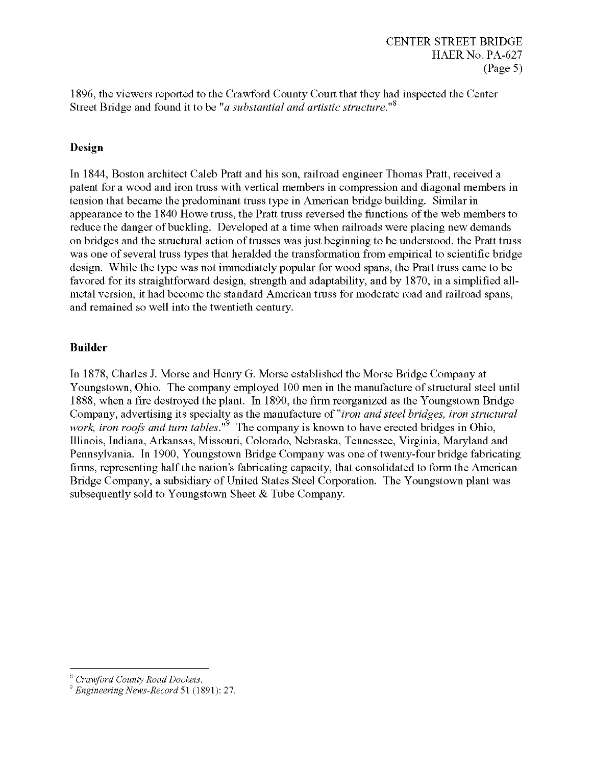1896, the viewers reported to the Crawford County Court that they had inspected the Center Q Street Bridge and found it to be *"a substantial and artistic structure."*

## **Design**

In 1844, Boston architect Caleb Pratt and his son, railroad engineer Thomas Pratt, received a patent for a wood and iron truss with vertical members in compression and diagonal members in tension that became the predominant truss type in American bridge building. Similar in appearance to the 1840 Howe truss, the Pratt truss reversed the functions of the web members to reduce the danger of buckling. Developed at a time when railroads were placing new demands on bridges and the structural action of trusses was just beginning to be understood, the Pratt truss was one of several truss types that heralded the transformation from empirical to scientific bridge design. While the type was not immediately popular for wood spans, the Pratt truss came to be favored for its straightforward design, strength and adaptability, and by 1870, in a simplified allmetal version, it had become the standard American truss for moderate road and railroad spans, and remained so well into the twentieth century.

## **Builder**

In 1878, Charles J. Morse and Henry G. Morse established the Morse Bridge Company at Youngstown, Ohio. The company employed 100 men in the manufacture of structural steel until 1888, when a fire destroyed the plant. In 1890, the firm reorganized as the Youngstown Bridge Company, advertising its specialty as the manufacture of *"iron and steel bridges, iron structural work, iron roofs and turn tables*.<sup>"9</sup> The company is known to have erected bridges in Ohio, Illinois, Indiana, Arkansas, Missouri, Colorado, Nebraska, Tennessee, Virginia, Maryland and Pennsylvania. In 1900, Youngstown Bridge Company was one of twenty-four bridge fabricating firms, representing half the nation's fabricating capacity, that consolidated to form the American Bridge Company, a subsidiary of United States Steel Corporation. The Youngstown plant was subsequently sold to Youngstown Sheet & Tube Company.

<sup>&#</sup>x27; *Crawford County Road Dockets.*

<sup>&#</sup>x27; *Engineering News-Record* 51 (1891): 27.